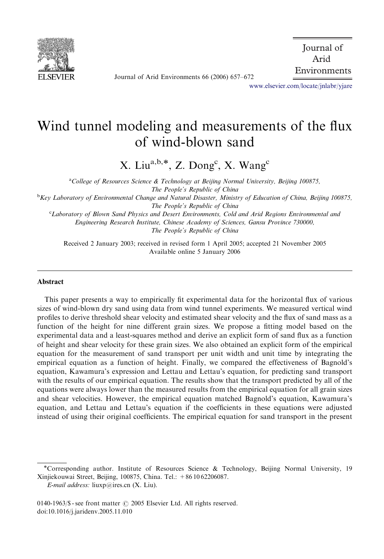

Journal of Arid Environments 66 (2006) 657–672

 Journal of Arid Environments

<www.elsevier.com/locate/jnlabr/yjare>

# Wind tunnel modeling and measurements of the flux of wind-blown sand

X. Liu $\text{a,b,*},$  Z. Dong<sup>c</sup>, X. Wang<sup>c</sup>

<sup>a</sup>College of Resources Science & Technology at Beijing Normal University, Beijing 100875, The People's Republic of China <sup>b</sup>Key Laboratory of Environmental Change and Natural Disaster, Ministry of Education of China, Beijing 100875, The People's Republic of China c Laboratory of Blown Sand Physics and Desert Environments, Cold and Arid Regions Environmental and Engineering Research Institute, Chinese Academy of Sciences, Gansu Province 730000,

The People's Republic of China

Received 2 January 2003; received in revised form 1 April 2005; accepted 21 November 2005 Available online 5 January 2006

## Abstract

This paper presents a way to empirically fit experimental data for the horizontal flux of various sizes of wind-blown dry sand using data from wind tunnel experiments. We measured vertical wind profiles to derive threshold shear velocity and estimated shear velocity and the flux of sand mass as a function of the height for nine different grain sizes. We propose a fitting model based on the experimental data and a least-squares method and derive an explicit form of sand flux as a function of height and shear velocity for these grain sizes. We also obtained an explicit form of the empirical equation for the measurement of sand transport per unit width and unit time by integrating the empirical equation as a function of height. Finally, we compared the effectiveness of Bagnold's equation, Kawamura's expression and Lettau and Lettau's equation, for predicting sand transport with the results of our empirical equation. The results show that the transport predicted by all of the equations were always lower than the measured results from the empirical equation for all grain sizes and shear velocities. However, the empirical equation matched Bagnold's equation, Kawamura's equation, and Lettau and Lettau's equation if the coefficients in these equations were adjusted instead of using their original coefficients. The empirical equation for sand transport in the present

Corresponding author. Institute of Resources Science & Technology, Beijing Normal University, 19 Xinjiekouwai Street, Beijing, 100875, China. Tel.: +86 10 62206087.

0140-1963/\$ - see front matter  $\odot$  2005 Elsevier Ltd. All rights reserved. doi:10.1016/j.jaridenv.2005.11.010

 $E$ -mail address: liuxp@ires.cn (X. Liu).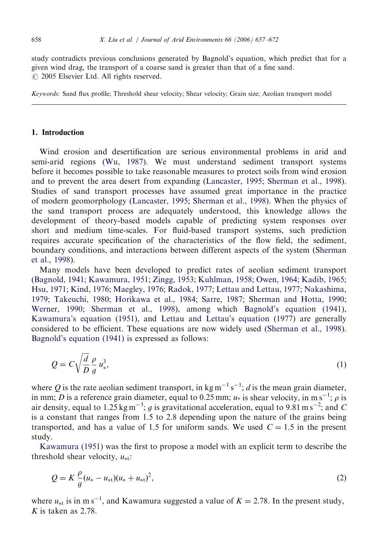study contradicts previous conclusions generated by Bagnold's equation, which predict that for a given wind drag, the transport of a coarse sand is greater than that of a fine sand.  $\odot$  2005 Elsevier Ltd. All rights reserved.

Keywords: Sand flux profile; Threshold shear velocity; Shear velocity; Grain size; Aeolian transport model

## 1. Introduction

Wind erosion and desertification are serious environmental problems in arid and semi-arid regions [\(Wu, 1987](#page-15-0)). We must understand sediment transport systems before it becomes possible to take reasonable measures to protect soils from wind erosion and to prevent the area desert from expanding [\(Lancaster, 1995](#page-14-0); [Sherman et al., 1998](#page-14-0)). Studies of sand transport processes have assumed great importance in the practice of modern geomorphology [\(Lancaster, 1995](#page-14-0); [Sherman et al., 1998](#page-14-0)). When the physics of the sand transport process are adequately understood, this knowledge allows the development of theory-based models capable of predicting system responses over short and medium time-scales. For fluid-based transport systems, such prediction requires accurate specification of the characteristics of the flow field, the sediment, boundary conditions, and interactions between different aspects of the system [\(Sherman](#page-14-0) [et al., 1998\)](#page-14-0).

Many models have been developed to predict rates of aeolian sediment transport ([Bagnold, 1941;](#page-14-0) [Kawamura, 1951](#page-14-0); [Zingg, 1953](#page-15-0); [Kuhlman, 1958](#page-14-0); [Owen, 1964](#page-14-0); [Kadib, 1965;](#page-14-0) [Hsu, 1971;](#page-14-0) [Kind, 1976;](#page-14-0) [Maegley, 1976](#page-14-0); [Radok, 1977;](#page-14-0) [Lettau and Lettau, 1977;](#page-14-0) [Nakashima,](#page-14-0) [1979](#page-14-0); [Takeuchi, 1980;](#page-14-0) [Horikawa et al., 1984](#page-14-0); [Sarre, 1987;](#page-14-0) [Sherman and Hotta, 1990;](#page-14-0) [Werner, 1990;](#page-14-0) [Sherman et al., 1998](#page-14-0)), among which [Bagnold's equation \(1941\),](#page-14-0) [Kawamura's equation \(1951\)](#page-14-0), and [Lettau and Lettau's equation \(1977\)](#page-14-0) are generally considered to be efficient. These equations are now widely used ([Sherman et al., 1998](#page-14-0)). [Bagnold's equation \(1941\)](#page-14-0) is expressed as follows:

$$
Q = C \sqrt{\frac{d}{D}} \frac{\rho}{g} u_*^3,
$$
\n(1)

where Q is the rate aeolian sediment transport, in  $\text{kg m}^{-1} \text{s}^{-1}$ ; d is the mean grain diameter, in mm; *D* is a reference grain diameter, equal to 0.25 mm;  $u^*$  is shear velocity, in m s<sup>-1</sup>;  $\rho$  is air density, equal to 1.25 kg m<sup>-3</sup>; g is gravitational acceleration, equal to 9.81 m s<sup>-2</sup>; and C is a constant that ranges from 1.5 to 2.8 depending upon the nature of the grains being transported, and has a value of 1.5 for uniform sands. We used  $C = 1.5$  in the present study.

[Kawamura \(1951\)](#page-14-0) was the first to propose a model with an explicit term to describe the threshold shear velocity,  $u_{\ast t}$ :

$$
Q = K \frac{\rho}{g} (u_* - u_{*t}) (u_* + u_{*t})^2, \tag{2}
$$

where  $u_{\ast t}$  is in m s<sup>-1</sup>, and Kawamura suggested a value of  $K = 2.78$ . In the present study, K is taken as  $2.78$ .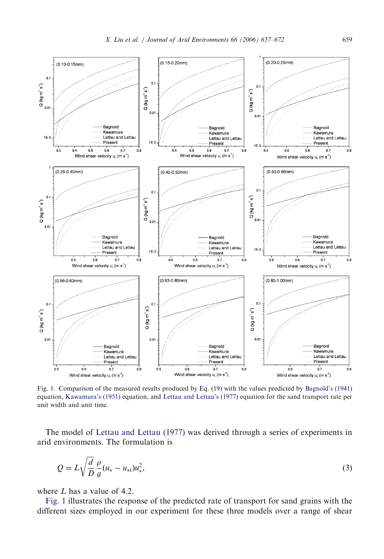<span id="page-2-0"></span>

Fig. 1. Comparison of the measured results produced by Eq. (19) with the values predicted by [Bagnold's \(1941\)](#page-14-0) equation, [Kawamura's \(1951\)](#page-14-0) equation, and [Lettau and Lettau's \(1977\)](#page-14-0) equation for the sand transport rate per unit width and unit time.

The model of [Lettau and Lettau \(1977\)](#page-14-0) was derived through a series of experiments in arid environments. The formulation is

$$
Q = L\sqrt{\frac{d}{D}}\frac{\rho}{g}(u_* - u_{*t})u_*^2,
$$
\t(3)

where  $L$  has a value of 4.2.

Fig. 1 illustrates the response of the predicted rate of transport for sand grains with the different sizes employed in our experiment for these three models over a range of shear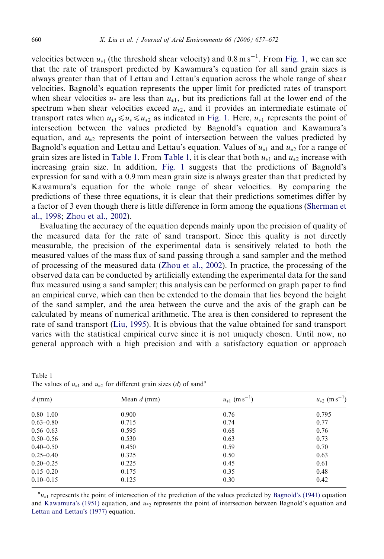velocities between  $u_{*t}$  (the threshold shear velocity) and  $0.8 \text{ m s}^{-1}$ . From [Fig. 1](#page-2-0), we can see that the rate of transport predicted by Kawamura's equation for all sand grain sizes is always greater than that of Lettau and Lettau's equation across the whole range of shear velocities. Bagnold's equation represents the upper limit for predicted rates of transport when shear velocities  $u_*$  are less than  $u_{*1}$ , but its predictions fall at the lower end of the spectrum when shear velocities exceed  $u_{*2}$ , and it provides an intermediate estimate of transport rates when  $u_{*1} \le u_{*} \le u_{*2}$  as indicated in [Fig. 1.](#page-2-0) Here,  $u_{*1}$  represents the point of intersection between the values predicted by Bagnold's equation and Kawamura's equation, and  $u_{*2}$  represents the point of intersection between the values predicted by Bagnold's equation and Lettau and Lettau's equation. Values of  $u_{*1}$  and  $u_{*2}$  for a range of grain sizes are listed in Table 1. From Table 1, it is clear that both  $u_{*1}$  and  $u_{*2}$  increase with increasing grain size. In addition, [Fig. 1](#page-2-0) suggests that the predictions of Bagnold's expression for sand with a 0.9 mm mean grain size is always greater than that predicted by Kawamura's equation for the whole range of shear velocities. By comparing the predictions of these three equations, it is clear that their predictions sometimes differ by a factor of 3 even though there is little difference in form among the equations [\(Sherman et](#page-14-0) [al., 1998;](#page-14-0) [Zhou et al., 2002\)](#page-15-0).

Evaluating the accuracy of the equation depends mainly upon the precision of quality of the measured data for the rate of sand transport. Since this quality is not directly measurable, the precision of the experimental data is sensitively related to both the measured values of the mass flux of sand passing through a sand sampler and the method of processing of the measured data ([Zhou et al., 2002\)](#page-15-0). In practice, the processing of the observed data can be conducted by artificially extending the experimental data for the sand flux measured using a sand sampler; this analysis can be performed on graph paper to find an empirical curve, which can then be extended to the domain that lies beyond the height of the sand sampler, and the area between the curve and the axis of the graph can be calculated by means of numerical arithmetic. The area is then considered to represent the rate of sand transport ([Liu, 1995](#page-14-0)). It is obvious that the value obtained for sand transport varies with the statistical empirical curve since it is not uniquely chosen. Until now, no general approach with a high precision and with a satisfactory equation or approach

| $d$ (mm)      | Mean $d$ (mm) | $u_{*1}$ (m s <sup>-1</sup> ) | $u_{*2}$ (m s <sup>-1</sup> ) |  |
|---------------|---------------|-------------------------------|-------------------------------|--|
| $0.80 - 1.00$ | 0.900         | 0.76                          | 0.795                         |  |
| $0.63 - 0.80$ | 0.715         | 0.74                          | 0.77                          |  |
| $0.56 - 0.63$ | 0.595         | 0.68                          | 0.76                          |  |
| $0.50 - 0.56$ | 0.530         | 0.63                          | 0.73                          |  |
| $0.40 - 0.50$ | 0.450         | 0.59                          | 0.70                          |  |
| $0.25 - 0.40$ | 0.325         | 0.50                          | 0.63                          |  |
| $0.20 - 0.25$ | 0.225         | 0.45                          | 0.61                          |  |
| $0.15 - 0.20$ | 0.175         | 0.35                          | 0.48                          |  |
| $0.10 - 0.15$ | 0.125         | 0.30                          | 0.42                          |  |

Table 1 The values of  $u_{*1}$  and  $u_{*2}$  for different grain sizes (d) of sand<sup>a</sup>

 $u_{*1}$  represents the point of intersection of the prediction of the values predicted by [Bagnold's \(1941\)](#page-14-0) equation and [Kawamura's \(1951\)](#page-14-0) equation, and  $u_{2}$  represents the point of intersection between Bagnold's equation and [Lettau and Lettau's \(1977\)](#page-14-0) equation.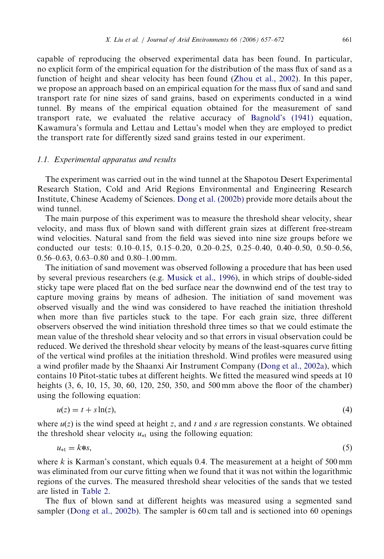capable of reproducing the observed experimental data has been found. In particular, no explicit form of the empirical equation for the distribution of the mass flux of sand as a function of height and shear velocity has been found ([Zhou et al., 2002](#page-15-0)). In this paper, we propose an approach based on an empirical equation for the mass flux of sand and sand transport rate for nine sizes of sand grains, based on experiments conducted in a wind tunnel. By means of the empirical equation obtained for the measurement of sand transport rate, we evaluated the relative accuracy of [Bagnold's \(1941\)](#page-14-0) equation, Kawamura's formula and Lettau and Lettau's model when they are employed to predict the transport rate for differently sized sand grains tested in our experiment.

# 1.1. Experimental apparatus and results

The experiment was carried out in the wind tunnel at the Shapotou Desert Experimental Research Station, Cold and Arid Regions Environmental and Engineering Research Institute, Chinese Academy of Sciences. [Dong et al. \(2002b\)](#page-14-0) provide more details about the wind tunnel.

The main purpose of this experiment was to measure the threshold shear velocity, shear velocity, and mass flux of blown sand with different grain sizes at different free-stream wind velocities. Natural sand from the field was sieved into nine size groups before we conducted our tests: 0.10–0.15, 0.15–0.20, 0.20–0.25, 0.25–0.40, 0.40–0.50, 0.50–0.56, 0.56–0.63, 0.63–0.80 and 0.80–1.00 mm.

The initiation of sand movement was observed following a procedure that has been used by several previous researchers (e.g. [Musick et al., 1996](#page-14-0)), in which strips of double-sided sticky tape were placed flat on the bed surface near the downwind end of the test tray to capture moving grains by means of adhesion. The initiation of sand movement was observed visually and the wind was considered to have reached the initiation threshold when more than five particles stuck to the tape. For each grain size, three different observers observed the wind initiation threshold three times so that we could estimate the mean value of the threshold shear velocity and so that errors in visual observation could be reduced. We derived the threshold shear velocity by means of the least-squares curve fitting of the vertical wind profiles at the initiation threshold. Wind profiles were measured using a wind profiler made by the Shaanxi Air Instrument Company [\(Dong et al., 2002a](#page-14-0)), which contains 10 Pitot-static tubes at different heights. We fitted the measured wind speeds at 10 heights (3, 6, 10, 15, 30, 60, 120, 250, 350, and 500 mm above the floor of the chamber) using the following equation:

$$
u(z) = t + s \ln(z),\tag{4}
$$

where  $u(z)$  is the wind speed at height z, and t and s are regression constants. We obtained the threshold shear velocity  $u_{\ast t}$  using the following equation:

 $u_{*t} = k*s,$  (5)

where k is Karman's constant, which equals 0.4. The measurement at a height of 500 mm was eliminated from our curve fitting when we found that it was not within the logarithmic regions of the curves. The measured threshold shear velocities of the sands that we tested are listed in [Table 2.](#page-5-0)

The flux of blown sand at different heights was measured using a segmented sand sampler [\(Dong et al., 2002b\)](#page-14-0). The sampler is 60 cm tall and is sectioned into 60 openings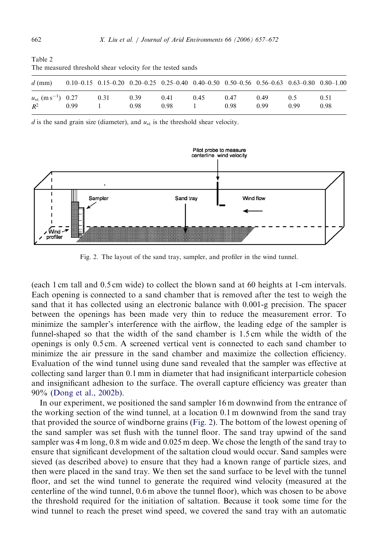| The measured threshold shear velocity for the tested sands |      |                                                                                                             |      |      |      |      |      |      |      |
|------------------------------------------------------------|------|-------------------------------------------------------------------------------------------------------------|------|------|------|------|------|------|------|
| $d$ (mm)                                                   |      | $0.10-0.15$ $0.15-0.20$ $0.20-0.25$ $0.25-0.40$ $0.40-0.50$ $0.50-0.56$ $0.56-0.63$ $0.63-0.80$ $0.80-1.00$ |      |      |      |      |      |      |      |
| $u_{*t}$ (m s <sup>-1</sup> ) 0.27                         |      | 0.31                                                                                                        | 0.39 | 0.41 | 0.45 | 0.47 | 0.49 | 0.5  | 0.51 |
| $R^2$                                                      | 0.99 |                                                                                                             | 0.98 | 0.98 |      | 0.98 | 0.99 | 0.99 | 0.98 |

d is the sand grain size (diameter), and  $u_{\ast}$  is the threshold shear velocity.



Fig. 2. The layout of the sand tray, sampler, and profiler in the wind tunnel.

(each 1 cm tall and 0.5 cm wide) to collect the blown sand at 60 heights at 1-cm intervals. Each opening is connected to a sand chamber that is removed after the test to weigh the sand that it has collected using an electronic balance with 0.001-g precision. The spacer between the openings has been made very thin to reduce the measurement error. To minimize the sampler's interference with the airflow, the leading edge of the sampler is funnel-shaped so that the width of the sand chamber is 1.5 cm while the width of the openings is only 0.5 cm. A screened vertical vent is connected to each sand chamber to minimize the air pressure in the sand chamber and maximize the collection efficiency. Evaluation of the wind tunnel using dune sand revealed that the sampler was effective at collecting sand larger than 0.1 mm in diameter that had insignificant interparticle cohesion and insignificant adhesion to the surface. The overall capture efficiency was greater than 90% ([Dong et al., 2002b](#page-14-0)).

In our experiment, we positioned the sand sampler 16 m downwind from the entrance of the working section of the wind tunnel, at a location 0.1 m downwind from the sand tray that provided the source of windborne grains (Fig. 2). The bottom of the lowest opening of the sand sampler was set flush with the tunnel floor. The sand tray upwind of the sand sampler was 4 m long, 0.8 m wide and 0.025 m deep. We chose the length of the sand tray to ensure that significant development of the saltation cloud would occur. Sand samples were sieved (as described above) to ensure that they had a known range of particle sizes, and then were placed in the sand tray. We then set the sand surface to be level with the tunnel floor, and set the wind tunnel to generate the required wind velocity (measured at the centerline of the wind tunnel, 0.6 m above the tunnel floor), which was chosen to be above the threshold required for the initiation of saltation. Because it took some time for the wind tunnel to reach the preset wind speed, we covered the sand tray with an automatic

<span id="page-5-0"></span>Table 2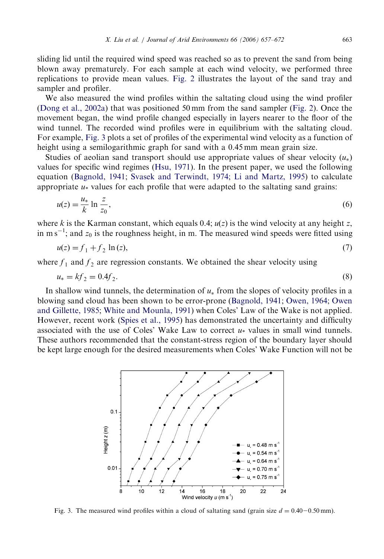sliding lid until the required wind speed was reached so as to prevent the sand from being blown away prematurely. For each sample at each wind velocity, we performed three replications to provide mean values. [Fig. 2](#page-5-0) illustrates the layout of the sand tray and sampler and profiler.

We also measured the wind profiles within the saltating cloud using the wind profiler ([Dong et al., 2002a](#page-14-0)) that was positioned 50 mm from the sand sampler ([Fig. 2\)](#page-5-0). Once the movement began, the wind profile changed especially in layers nearer to the floor of the wind tunnel. The recorded wind profiles were in equilibrium with the saltating cloud. For example, Fig. 3 plots a set of profiles of the experimental wind velocity as a function of height using a semilogarithmic graph for sand with a 0.45 mm mean grain size.

Studies of aeolian sand transport should use appropriate values of shear velocity  $(u_*)$ values for specific wind regimes ([Hsu, 1971](#page-14-0)). In the present paper, we used the following equation [\(Bagnold, 1941;](#page-14-0) [Svasek and Terwindt, 1974;](#page-14-0) [Li and Martz, 1995\)](#page-14-0) to calculate appropriate  $u_*$  values for each profile that were adapted to the saltating sand grains:

$$
u(z) = \frac{u_*}{k} \ln \frac{z}{z_0},\tag{6}
$$

where k is the Karman constant, which equals 0.4;  $u(z)$  is the wind velocity at any height z, in m s<sup>-1</sup>; and  $z_0$  is the roughness height, in m. The measured wind speeds were fitted using

$$
u(z) = f_1 + f_2 \ln(z),
$$
 (7)

where  $f_1$  and  $f_2$  are regression constants. We obtained the shear velocity using

$$
u_* = kf_2 = 0.4f_2. \tag{8}
$$

In shallow wind tunnels, the determination of  $u_*$  from the slopes of velocity profiles in a blowing sand cloud has been shown to be error-prone ([Bagnold, 1941](#page-14-0); [Owen, 1964](#page-14-0); [Owen](#page-14-0) [and Gillette, 1985](#page-14-0); [White and Mounla, 1991\)](#page-14-0) when Coles' Law of the Wake is not applied. However, recent work [\(Spies et al., 1995](#page-14-0)) has demonstrated the uncertainty and difficulty associated with the use of Coles' Wake Law to correct  $u_*$  values in small wind tunnels. These authors recommended that the constant-stress region of the boundary layer should be kept large enough for the desired measurements when Coles' Wake Function will not be



Fig. 3. The measured wind profiles within a cloud of saltating sand (grain size  $d = 0.40-0.50$  mm).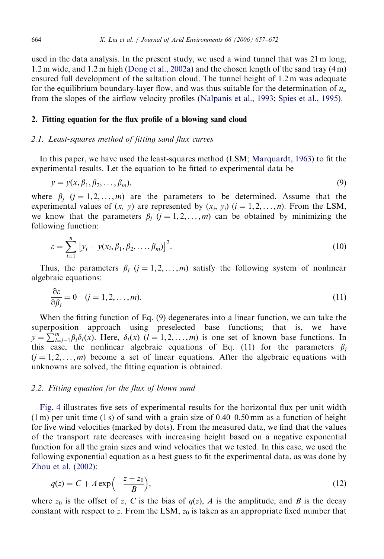used in the data analysis. In the present study, we used a wind tunnel that was 21 m long, 1.2 m wide, and 1.2 m high ([Dong et al., 2002a\)](#page-14-0) and the chosen length of the sand tray (4 m) ensured full development of the saltation cloud. The tunnel height of 1.2 m was adequate for the equilibrium boundary-layer flow, and was thus suitable for the determination of  $u_*$ from the slopes of the airflow velocity profiles [\(Nalpanis et al., 1993](#page-14-0); [Spies et al., 1995](#page-14-0)).

## 2. Fitting equation for the flux profile of a blowing sand cloud

# 2.1. Least-squares method of fitting sand flux curves

In this paper, we have used the least-squares method (LSM; [Marquardt, 1963\)](#page-14-0) to fit the experimental results. Let the equation to be fitted to experimental data be

$$
y = y(x, \beta_1, \beta_2, \dots, \beta_m),\tag{9}
$$

where  $\beta_i$  (j = 1, 2, ..., m) are the parameters to be determined. Assume that the experimental values of  $(x, y)$  are represented by  $(x_i, y_i)$   $(i = 1, 2, \ldots, n)$ . From the LSM, we know that the parameters  $\beta_i$  (j = 1, 2, ..., m) can be obtained by minimizing the following function:

$$
\varepsilon = \sum_{i=1}^{n} \left[ y_i - y(x_i, \beta_1, \beta_2, \dots, \beta_m) \right]^2.
$$
 (10)

Thus, the parameters  $\beta_i$  ( $j = 1, 2, ..., m$ ) satisfy the following system of nonlinear algebraic equations:

$$
\frac{\partial \varepsilon}{\partial \beta_j} = 0 \quad (j = 1, 2, \dots, m). \tag{11}
$$

When the fitting function of Eq. (9) degenerates into a linear function, we can take the superposition approach using preselected base functions; that is, we have  $y = \sum_{l=j-1}^{m} \beta_l \delta_l(x)$ . Here,  $\delta_l(x)$   $(l = 1, 2, ..., m)$  is one set of known base functions. In this case, the nonlinear algebraic equations of Eq. (11) for the parameters  $\beta_i$  $(j = 1, 2, \ldots, m)$  become a set of linear equations. After the algebraic equations with unknowns are solved, the fitting equation is obtained.

# 2.2. Fitting equation for the flux of blown sand

[Fig. 4](#page-8-0) illustrates five sets of experimental results for the horizontal flux per unit width  $(1 \text{ m})$  per unit time  $(1 \text{ s})$  of sand with a grain size of 0.40–0.50 mm as a function of height for five wind velocities (marked by dots). From the measured data, we find that the values of the transport rate decreases with increasing height based on a negative exponential function for all the grain sizes and wind velocities that we tested. In this case, we used the following exponential equation as a best guess to fit the experimental data, as was done by [Zhou et al. \(2002\)](#page-15-0):

$$
q(z) = C + A \exp\left(-\frac{z - z_0}{B}\right),\tag{12}
$$

where  $z_0$  is the offset of z, C is the bias of  $q(z)$ , A is the amplitude, and B is the decay constant with respect to z. From the LSM,  $z_0$  is taken as an appropriate fixed number that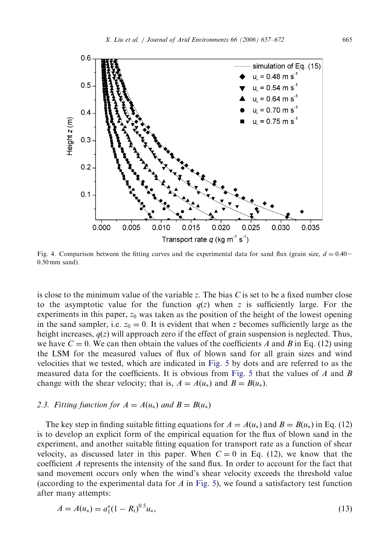<span id="page-8-0"></span>

Fig. 4. Comparison between the fitting curves and the experimental data for sand flux (grain size,  $d = 0.40-$ 0:50 mm sand).

is close to the minimum value of the variable z. The bias  $C$  is set to be a fixed number close to the asymptotic value for the function  $q(z)$  when z is sufficiently large. For the experiments in this paper,  $z_0$  was taken as the position of the height of the lowest opening in the sand sampler, i.e.  $z_0 = 0$ . It is evident that when z becomes sufficiently large as the height increases,  $q(z)$  will approach zero if the effect of grain suspension is neglected. Thus, we have  $C = 0$ . We can then obtain the values of the coefficients A and B in Eq. (12) using the LSM for the measured values of flux of blown sand for all grain sizes and wind velocities that we tested, which are indicated in [Fig. 5](#page-9-0) by dots and are referred to as the measured data for the coefficients. It is obvious from [Fig. 5](#page-9-0) that the values of A and B change with the shear velocity; that is,  $A = A(u_*)$  and  $B = B(u_*)$ .

#### 2.3. Fitting function for  $A = A(u_*)$  and  $B = B(u_*)$

The key step in finding suitable fitting equations for  $A = A(u_*)$  and  $B = B(u_*)$  in Eq. (12) is to develop an explicit form of the empirical equation for the flux of blown sand in the experiment, and another suitable fitting equation for transport rate as a function of shear velocity, as discussed later in this paper. When  $C = 0$  in Eq. (12), we know that the coefficient A represents the intensity of the sand flux. In order to account for the fact that sand movement occurs only when the wind's shear velocity exceeds the threshold value (according to the experimental data for  $A$  in [Fig. 5\)](#page-9-0), we found a satisfactory test function after many attempts:

$$
A = A(u_*) = a_1^*(1 - R_1)^{0.5}u_*,
$$
\n(13)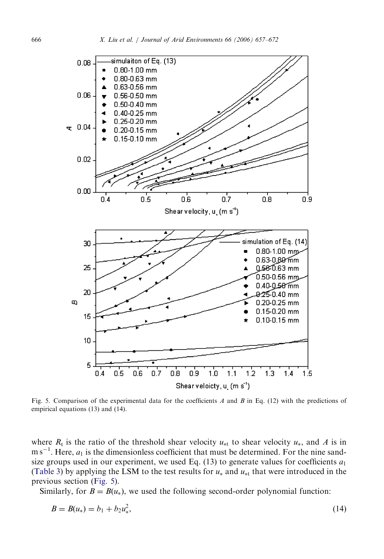<span id="page-9-0"></span>

Fig. 5. Comparison of the experimental data for the coefficients A and B in Eq. (12) with the predictions of empirical equations (13) and (14).

where  $R_t$  is the ratio of the threshold shear velocity  $u_{*t}$  to shear velocity  $u_*$ , and A is in  $\text{m s}^{-1}$ . Here,  $a_1$  is the dimensionless coefficient that must be determined. For the nine sandsize groups used in our experiment, we used Eq. (13) to generate values for coefficients  $a_1$ ([Table 3\)](#page-10-0) by applying the LSM to the test results for  $u_*$  and  $u_{*t}$  that were introduced in the previous section (Fig. 5).

Similarly, for  $B = B(u_*)$ , we used the following second-order polynomial function:

$$
B = B(u_*) = b_1 + b_2 u_*^2, \tag{14}
$$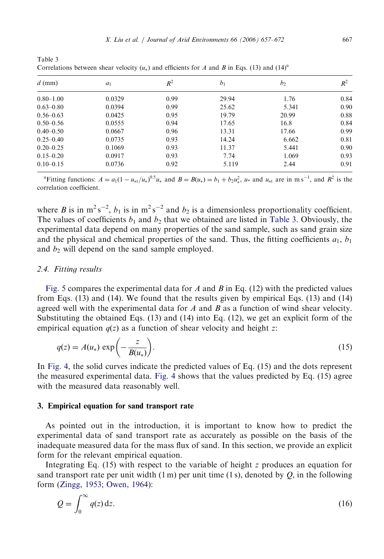| $d$ (mm)      | $a_1$  | $R^2$ | b <sub>1</sub> | b <sub>2</sub> | $R^2$ |
|---------------|--------|-------|----------------|----------------|-------|
| $0.80 - 1.00$ | 0.0329 | 0.99  | 29.94          | 1.76           | 0.84  |
| $0.63 - 0.80$ | 0.0394 | 0.99  | 25.62          | 5.341          | 0.90  |
| $0.56 - 0.63$ | 0.0425 | 0.95  | 19.79          | 20.99          | 0.88  |
| $0.50 - 0.56$ | 0.0555 | 0.94  | 17.65          | 16.8           | 0.84  |
| $0.40 - 0.50$ | 0.0667 | 0.96  | 13.31          | 17.66          | 0.99  |
| $0.25 - 0.40$ | 0.0735 | 0.93  | 14.24          | 6.662          | 0.81  |
| $0.20 - 0.25$ | 0.1069 | 0.93  | 11.37          | 5.441          | 0.90  |
| $0.15 - 0.20$ | 0.0917 | 0.93  | 7.74           | 1.069          | 0.93  |
| $0.10 - 0.15$ | 0.0736 | 0.92  | 5.119          | 2.44           | 0.91  |

<span id="page-10-0"></span>Table 3 Correlations between shear velocity ( $u<sub>*</sub>$ ) and efficients for A and B in Eqs. (13) and (14)<sup>a</sup>

<sup>a</sup> Fitting functions:  $A = a_1(1 - u_{*t}/u_*)^{0.5}u_*$  and  $B = B(u_*) = b_1 + b_2u_*^2$ ,  $u_*$  and  $u_{*t}$  are in m s<sup>-1</sup>, and  $R^2$  is the correlation coefficient.

where B is in  $m^2 s^{-2}$ ,  $b_1$  is in  $m^2 s^{-2}$  and  $b_2$  is a dimensionless proportionality coefficient. The values of coefficients  $b_1$  and  $b_2$  that we obtained are listed in Table 3. Obviously, the experimental data depend on many properties of the sand sample, such as sand grain size and the physical and chemical properties of the sand. Thus, the fitting coefficients  $a_1, b_1$ and  $b_2$  will depend on the sand sample employed.

## 2.4. Fitting results

[Fig. 5](#page-9-0) compares the experimental data for A and B in Eq. (12) with the predicted values from Eqs. (13) and (14). We found that the results given by empirical Eqs. (13) and (14) agreed well with the experimental data for  $A$  and  $B$  as a function of wind shear velocity. Substituting the obtained Eqs.  $(13)$  and  $(14)$  into Eq.  $(12)$ , we get an explicit form of the empirical equation  $q(z)$  as a function of shear velocity and height z:

$$
q(z) = A(u_*) \exp\left(-\frac{z}{B(u_*)}\right). \tag{15}
$$

In [Fig. 4,](#page-8-0) the solid curves indicate the predicted values of Eq. (15) and the dots represent the measured experimental data. [Fig. 4](#page-8-0) shows that the values predicted by Eq. (15) agree with the measured data reasonably well.

## 3. Empirical equation for sand transport rate

As pointed out in the introduction, it is important to know how to predict the experimental data of sand transport rate as accurately as possible on the basis of the inadequate measured data for the mass flux of sand. In this section, we provide an explicit form for the relevant empirical equation.

Integrating Eq. (15) with respect to the variable of height z produces an equation for sand transport rate per unit width  $(1 \text{ m})$  per unit time  $(1 \text{ s})$ , denoted by Q, in the following form ([Zingg, 1953;](#page-15-0) [Owen, 1964\)](#page-14-0):

$$
Q = \int_0^\infty q(z) \, \mathrm{d}z. \tag{16}
$$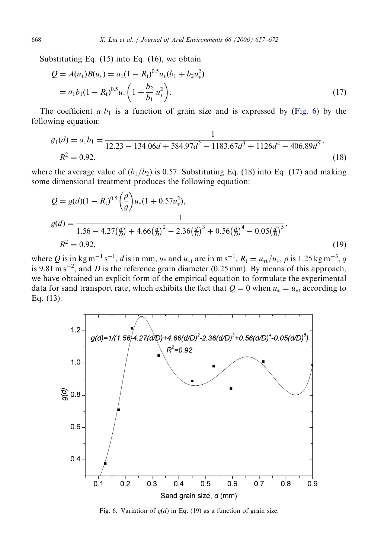Substituting Eq. (15) into Eq. (16), we obtain

$$
Q = A(u_*)B(u_*) = a_1(1 - R_1)^{0.5}u_*(b_1 + b_2u_*^2)
$$
  
=  $a_1b_1(1 - R_1)^{0.5}u_*\left(1 + \frac{b_2}{b_1}u_*^2\right).$  (17)

The coefficient  $a_1b_1$  is a function of grain size and is expressed by (Fig. 6) by the following equation:

$$
g_1(d) = a_1 b_1 = \frac{1}{12.23 - 134.06d + 584.97d^2 - 1183.67d^3 + 1126d^4 - 406.89d^5},
$$
  
\n
$$
R^2 = 0.92,
$$
\n(18)

where the average value of  $(b_1/b_2)$  is 0.57. Substituting Eq. (18) into Eq. (17) and making some dimensional treatment produces the following equation:

$$
Q = g(d)(1 - R_t)^{0.5} \left(\frac{\rho}{g}\right) u_*(1 + 0.57u_*^2),
$$
  
\n
$$
g(d) = \frac{1}{1.56 - 4.27\left(\frac{d}{D}\right) + 4.66\left(\frac{d}{D}\right)^2 - 2.36\left(\frac{d}{D}\right)^3 + 0.56\left(\frac{d}{D}\right)^4 - 0.05\left(\frac{d}{D}\right)^5},
$$
  
\n
$$
R^2 = 0.92,
$$
\n(19)

where Q is in kg m<sup>-1</sup> s<sup>-1</sup>, d is in mm, u<sub>\*</sub> and u<sub>\*t</sub> are in m s<sup>-1</sup>,  $R_t = u_{*t}/u_*, \rho$  is 1.25 kg m<sup>-3</sup>, g is 9.81 m s<sup>-2</sup>, and *D* is the reference grain diameter (0.25 mm). By means of this approach, we have obtained an explicit form of the empirical equation to formulate the experimental data for sand transport rate, which exhibits the fact that  $Q = 0$  when  $u_* = u_{*t}$  according to Eq. (13).



Fig. 6. Variation of  $g(d)$  in Eq. (19) as a function of grain size.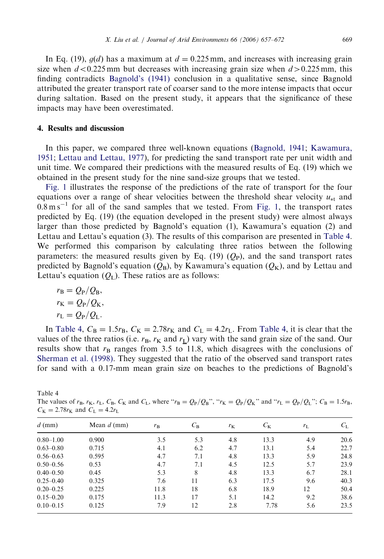<span id="page-12-0"></span>In Eq. (19),  $q(d)$  has a maximum at  $d = 0.225$  mm, and increases with increasing grain size when  $d < 0.225$  mm but decreases with increasing grain size when  $d > 0.225$  mm, this finding contradicts [Bagnold's \(1941\)](#page-14-0) conclusion in a qualitative sense, since Bagnold attributed the greater transport rate of coarser sand to the more intense impacts that occur during saltation. Based on the present study, it appears that the significance of these impacts may have been overestimated.

# 4. Results and discussion

In this paper, we compared three well-known equations [\(Bagnold, 1941;](#page-14-0) [Kawamura,](#page-14-0) [1951](#page-14-0); [Lettau and Lettau, 1977\)](#page-14-0), for predicting the sand transport rate per unit width and unit time. We compared their predictions with the measured results of Eq. (19) which we obtained in the present study for the nine sand-size groups that we tested.

[Fig. 1](#page-2-0) illustrates the response of the predictions of the rate of transport for the four equations over a range of shear velocities between the threshold shear velocity  $u_{\ast t}$  and  $0.8 \text{ m s}^{-1}$  for all of the sand samples that we tested. From [Fig. 1](#page-2-0), the transport rates predicted by Eq. (19) (the equation developed in the present study) were almost always larger than those predicted by Bagnold's equation (1), Kawamura's equation (2) and Lettau and Lettau's equation (3). The results of this comparison are presented in Table 4. We performed this comparison by calculating three ratios between the following parameters: the measured results given by Eq. (19)  $(Q_P)$ , and the sand transport rates predicted by Bagnold's equation  $(Q_B)$ , by Kawamura's equation  $(Q_K)$ , and by Lettau and Lettau's equation  $(Q_L)$ . These ratios are as follows:

$$
r_{\rm B} = Q_{\rm P}/Q_{\rm B},
$$
  
\n
$$
r_{\rm K} = Q_{\rm P}/Q_{\rm K},
$$
  
\n
$$
r_{\rm L} = Q_{\rm P}/Q_{\rm L}.
$$

In Table 4,  $C_B = 1.5r_B$ ,  $C_K = 2.78r_K$  and  $C_L = 4.2r_L$ . From Table 4, it is clear that the values of the three ratios (i.e.  $r_B$ ,  $r_K$  and  $r_L$ ) vary with the sand grain size of the sand. Our results show that  $r<sub>B</sub>$  ranges from 3.5 to 11.8, which disagrees with the conclusions of [Sherman et al. \(1998\).](#page-14-0) They suggested that the ratio of the observed sand transport rates for sand with a 0.17-mm mean grain size on beaches to the predictions of Bagnold's

| Table 4                                                                                                                                                  |  |
|----------------------------------------------------------------------------------------------------------------------------------------------------------|--|
| The values of $r_B$ , $r_K$ , $r_L$ , $C_B$ , $C_K$ and $C_L$ , where " $r_B = Q_P/Q_B$ ", " $r_K = Q_P/Q_K$ " and " $r_L = Q_P/Q_L$ "; $C_B = 1.5r_B$ , |  |
| $C_{\rm K} = 2.78 r_{\rm K}$ and $C_{\rm L} = 4.2 r_{\rm L}$                                                                                             |  |

| $d$ (mm)      | Mean $d$ (mm) | $r_{\rm B}$ | $C_{\rm B}$ | $r_{\rm K}$ | $C_{\rm K}$ | $r_{\rm L}$ | $C_{\rm L}$ |
|---------------|---------------|-------------|-------------|-------------|-------------|-------------|-------------|
| $0.80 - 1.00$ | 0.900         | 3.5         | 5.3         | 4.8         | 13.3        | 4.9         | 20.6        |
| $0.63 - 0.80$ | 0.715         | 4.1         | 6.2         | 4.7         | 13.1        | 5.4         | 22.7        |
| $0.56 - 0.63$ | 0.595         | 4.7         | 7.1         | 4.8         | 13.3        | 5.9         | 24.8        |
| $0.50 - 0.56$ | 0.53          | 4.7         | 7.1         | 4.5         | 12.5        | 5.7         | 23.9        |
| $0.40 - 0.50$ | 0.45          | 5.3         | 8           | 4.8         | 13.3        | 6.7         | 28.1        |
| $0.25 - 0.40$ | 0.325         | 7.6         | 11          | 6.3         | 17.5        | 9.6         | 40.3        |
| $0.20 - 0.25$ | 0.225         | 11.8        | 18          | 6.8         | 18.9        | 12          | 50.4        |
| $0.15 - 0.20$ | 0.175         | 11.3        | 17          | 5.1         | 14.2        | 9.2         | 38.6        |
| $0.10 - 0.15$ | 0.125         | 7.9         | 12          | 2.8         | 7.78        | 5.6         | 23.5        |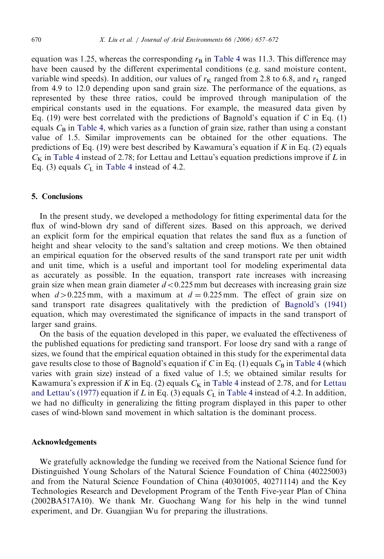equation was 1.25, whereas the corresponding  $r<sub>B</sub>$  in [Table 4](#page-12-0) was 11.3. This difference may have been caused by the different experimental conditions (e.g. sand moisture content, variable wind speeds). In addition, our values of  $r<sub>K</sub>$  ranged from 2.8 to 6.8, and  $r<sub>L</sub>$  ranged from 4.9 to 12.0 depending upon sand grain size. The performance of the equations, as represented by these three ratios, could be improved through manipulation of the empirical constants used in the equations. For example, the measured data given by Eq. (19) were best correlated with the predictions of Bagnold's equation if C in Eq. (1) equals  $C_B$  in [Table 4,](#page-12-0) which varies as a function of grain size, rather than using a constant value of 1.5. Similar improvements can be obtained for the other equations. The predictions of Eq. (19) were best described by Kawamura's equation if K in Eq. (2) equals  $C<sub>K</sub>$  in [Table 4](#page-12-0) instead of 2.78; for Lettau and Lettau's equation predictions improve if L in Eq. (3) equals  $C_{\text{L}}$  in [Table 4](#page-12-0) instead of 4.2.

# 5. Conclusions

In the present study, we developed a methodology for fitting experimental data for the flux of wind-blown dry sand of different sizes. Based on this approach, we derived an explicit form for the empirical equation that relates the sand flux as a function of height and shear velocity to the sand's saltation and creep motions. We then obtained an empirical equation for the observed results of the sand transport rate per unit width and unit time, which is a useful and important tool for modeling experimental data as accurately as possible. In the equation, transport rate increases with increasing grain size when mean grain diameter  $d < 0.225$  mm but decreases with increasing grain size when  $d > 0.225$  mm, with a maximum at  $d = 0.225$  mm. The effect of grain size on sand transport rate disagrees qualitatively with the prediction of [Bagnold's \(1941\)](#page-14-0) equation, which may overestimated the significance of impacts in the sand transport of larger sand grains.

On the basis of the equation developed in this paper, we evaluated the effectiveness of the published equations for predicting sand transport. For loose dry sand with a range of sizes, we found that the empirical equation obtained in this study for the experimental data gave results close to those of Bagnold's equation if C in Eq. (1) equals  $C_B$  in [Table 4](#page-12-0) (which varies with grain size) instead of a fixed value of 1.5; we obtained similar results for Kawamura's expression if K in Eq. (2) equals  $C_K$  in [Table 4](#page-12-0) instead of 2.78, and for [Lettau](#page-14-0) [and Lettau's \(1977\)](#page-14-0) equation if L in Eq. (3) equals  $C<sub>L</sub>$  in [Table 4](#page-12-0) instead of 4.2. In addition, we had no difficulty in generalizing the fitting program displayed in this paper to other cases of wind-blown sand movement in which saltation is the dominant process.

## Acknowledgements

We gratefully acknowledge the funding we received from the National Science fund for Distinguished Young Scholars of the Natural Science Foundation of China (40225003) and from the Natural Science Foundation of China (40301005, 40271114) and the Key Technologies Research and Development Program of the Tenth Five-year Plan of China (2002BA517A10). We thank Mr. Guochang Wang for his help in the wind tunnel experiment, and Dr. Guangjian Wu for preparing the illustrations.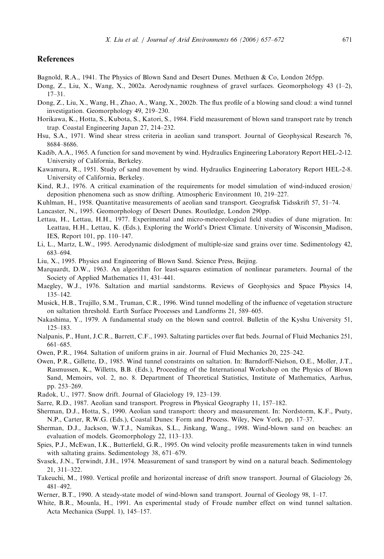### <span id="page-14-0"></span>References

- Bagnold, R.A., 1941. The Physics of Blown Sand and Desert Dunes. Methuen & Co, London 265pp.
- Dong, Z., Liu, X., Wang, X., 2002a. Aerodynamic roughness of gravel surfaces. Geomorphology 43 (1–2), 17–31.
- Dong, Z., Liu, X., Wang, H., Zhao, A., Wang, X., 2002b. The flux profile of a blowing sand cloud: a wind tunnel investigation. Geomorphology 49, 219–230.
- Horikawa, K., Hotta, S., Kubota, S., Katori, S., 1984. Field measurement of blown sand transport rate by trench trap. Coastal Engineering Japan 27, 214–232.
- Hsu, S.A., 1971. Wind shear stress criteria in aeolian sand transport. Journal of Geophysical Research 76, 8684–8686.
- Kadib, A.A., 1965. A function for sand movement by wind. Hydraulics Engineering Laboratory Report HEL-2-12. University of California, Berkeley.
- Kawamura, R., 1951. Study of sand movement by wind. Hydraulics Engineering Laboratory Report HEL-2-8. University of California, Berkeley.
- Kind, R.J., 1976. A critical examination of the requirements for model simulation of wind-induced erosion/ deposition phenomena such as snow drifting. Atmospheric Environment 10, 219–227.
- Kuhlman, H., 1958. Quantitative measurements of aeolian sand transport. Geografisk Tidsskrift 57, 51–74.
- Lancaster, N., 1995. Geomorphology of Desert Dunes. Routledge, London 290pp.
- Lettau, H., Lettau, H.H., 1977. Experimental and micro-meteorological field studies of dune migration. In: Leattau, H.H., Lettau, K. (Eds.), Exploring the World's Driest Climate. University of Wisconsin\_Madison, IES, Report 101, pp. 110–147.
- Li, L., Martz, L.W., 1995. Aerodynamic dislodgment of multiple-size sand grains over time. Sedimentology 42, 683–694.
- Liu, X., 1995. Physics and Engineering of Blown Sand. Science Press, Beijing.
- Marquardt, D.W., 1963. An algorithm for least-squares estimation of nonlinear parameters. Journal of the Society of Applied Mathematics 11, 431–441.
- Maegley, W.J., 1976. Saltation and martial sandstorms. Reviews of Geophysics and Space Physics 14, 135–142.
- Musick, H.B., Trujillo, S.M., Truman, C.R., 1996. Wind tunnel modelling of the influence of vegetation structure on saltation threshold. Earth Surface Processes and Landforms 21, 589–605.
- Nakashima, Y., 1979. A fundamental study on the blown sand control. Bulletin of the Kyshu University 51, 125–183.
- Nalpanis, P., Hunt, J.C.R., Barrett, C.F., 1993. Saltating particles over flat beds. Journal of Fluid Mechanics 251, 661–685.
- Owen, P.R., 1964. Saltation of uniform grains in air. Journal of Fluid Mechanics 20, 225–242.
- Owen, P.R., Gillette, D., 1985. Wind tunnel constraints on saltation. In: Barndorff-Nielson, O.E., Moller, J.T., Rasmussen, K., Willetts, B.B. (Eds.), Proceeding of the International Workshop on the Physics of Blown Sand, Memoirs, vol. 2, no. 8. Department of Theoretical Statistics, Institute of Mathematics, Aarhus, pp. 253–269.
- Radok, U., 1977. Snow drift. Journal of Glaciology 19, 123–139.
- Sarre, R.D., 1987. Aeolian sand transport. Progress in Physical Geography 11, 157–182.
- Sherman, D.J., Hotta, S., 1990. Aeolian sand transport: theory and measurement. In: Nordstorm, K.F., Psuty, N.P., Carter, R.W.G. (Eds.), Coastal Dunes: Form and Process. Wiley, New York, pp. 17–37.
- Sherman, D.J., Jackson, W.T.J., Namikas, S.L., Jinkang, Wang., 1998. Wind-blown sand on beaches: an evaluation of models. Geomorphology 22, 113–133.
- Spies, P.J., McEwan, I.K., Butterfield, G.R., 1995. On wind velocity profile measurements taken in wind tunnels with saltating grains. Sedimentology 38, 671–679.
- Svasek, J.N., Terwindt, J.H., 1974. Measurement of sand transport by wind on a natural beach. Sedimentology 21, 311–322.
- Takeuchi, M., 1980. Vertical profile and horizontal increase of drift snow transport. Journal of Glaciology 26, 481–492.
- Werner, B.T., 1990. A steady-state model of wind-blown sand transport. Journal of Geology 98, 1–17.
- White, B.R., Mounla, H., 1991. An experimental study of Froude number effect on wind tunnel saltation. Acta Mechanica (Suppl. 1), 145–157.